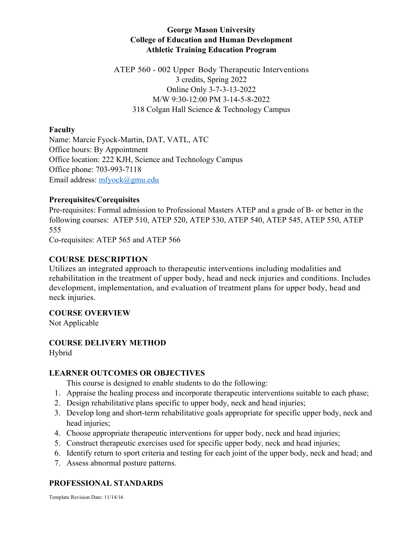# **George Mason University College of Education and Human Development Athletic Training Education Program**

ATEP 560 - 002 Upper Body Therapeutic Interventions 3 credits, Spring 2022 Online Only 3-7-3-13-2022 M/W 9:30-12:00 PM 3-14-5-8-2022 318 Colgan Hall Science & Technology Campus

### **Faculty**

Name: Marcie Fyock-Martin, DAT, VATL, ATC Office hours: By Appointment Office location: 222 KJH, Science and Technology Campus Office phone: 703-993-7118 Email address: mfyock@gmu.edu

## **Prerequisites/Corequisites**

Pre-requisites: Formal admission to Professional Masters ATEP and a grade of B- or better in the following courses: ATEP 510, ATEP 520, ATEP 530, ATEP 540, ATEP 545, ATEP 550, ATEP 555

Co-requisites: ATEP 565 and ATEP 566

# **COURSE DESCRIPTION**

Utilizes an integrated approach to therapeutic interventions including modalities and rehabilitation in the treatment of upper body, head and neck injuries and conditions. Includes development, implementation, and evaluation of treatment plans for upper body, head and neck injuries.

## **COURSE OVERVIEW**

Not Applicable

# **COURSE DELIVERY METHOD**

Hybrid

## **LEARNER OUTCOMES OR OBJECTIVES**

This course is designed to enable students to do the following:

- 1. Appraise the healing process and incorporate therapeutic interventions suitable to each phase;
- 2. Design rehabilitative plans specific to upper body, neck and head injuries;
- 3. Develop long and short-term rehabilitative goals appropriate for specific upper body, neck and head injuries;
- 4. Choose appropriate therapeutic interventions for upper body, neck and head injuries;
- 5. Construct therapeutic exercises used for specific upper body, neck and head injuries;
- 6. Identify return to sport criteria and testing for each joint of the upper body, neck and head; and
- 7. Assess abnormal posture patterns.

# **PROFESSIONAL STANDARDS**

Template Revision Date: 11/14/16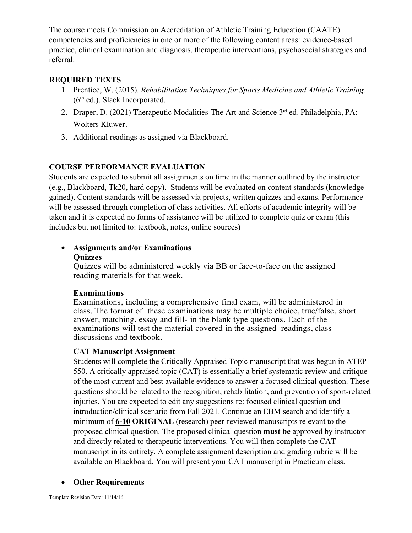The course meets Commission on Accreditation of Athletic Training Education (CAATE) competencies and proficiencies in one or more of the following content areas: evidence-based practice, clinical examination and diagnosis, therapeutic interventions, psychosocial strategies and referral.

## **REQUIRED TEXTS**

- 1. Prentice, W. (2015). *Rehabilitation Techniques for Sports Medicine and Athletic Training.*   $(6<sup>th</sup>$  ed.). Slack Incorporated.
- 2. Draper, D. (2021) Therapeutic Modalities-The Art and Science 3<sup>rd</sup> ed. Philadelphia, PA: Wolters Kluwer.
- 3. Additional readings as assigned via Blackboard.

# **COURSE PERFORMANCE EVALUATION**

Students are expected to submit all assignments on time in the manner outlined by the instructor (e.g., Blackboard, Tk20, hard copy). Students will be evaluated on content standards (knowledge gained). Content standards will be assessed via projects, written quizzes and exams. Performance will be assessed through completion of class activities. All efforts of academic integrity will be taken and it is expected no forms of assistance will be utilized to complete quiz or exam (this includes but not limited to: textbook, notes, online sources)

# • **Assignments and/or Examinations Quizzes**

Quizzes will be administered weekly via BB or face-to-face on the assigned reading materials for that week.

## **Examinations**

Examinations, including a comprehensive final exam, will be administered in class. The format of these examinations may be multiple choice, true/false, short answer, matching, essay and fill- in the blank type questions. Each of the examinations will test the material covered in the assigned readings, class discussions and textbook.

# **CAT Manuscript Assignment**

Students will complete the Critically Appraised Topic manuscript that was begun in ATEP 550. A critically appraised topic (CAT) is essentially a brief systematic review and critique of the most current and best available evidence to answer a focused clinical question. These questions should be related to the recognition, rehabilitation, and prevention of sport-related injuries. You are expected to edit any suggestions re: focused clinical question and introduction/clinical scenario from Fall 2021. Continue an EBM search and identify a minimum of **6-10 ORIGINAL** (research) peer-reviewed manuscripts relevant to the proposed clinical question. The proposed clinical question **must be** approved by instructor and directly related to therapeutic interventions. You will then complete the CAT manuscript in its entirety. A complete assignment description and grading rubric will be available on Blackboard. You will present your CAT manuscript in Practicum class.

## • **Other Requirements**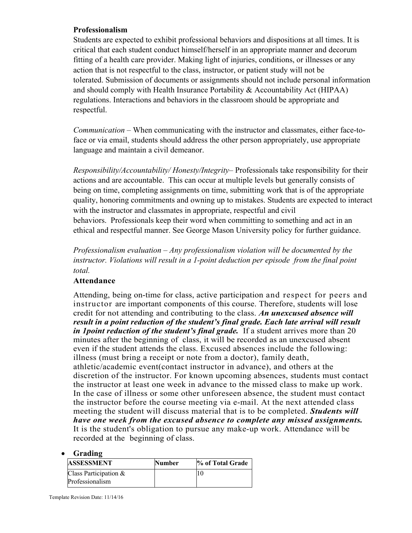### **Professionalism**

Students are expected to exhibit professional behaviors and dispositions at all times. It is critical that each student conduct himself/herself in an appropriate manner and decorum fitting of a health care provider. Making light of injuries, conditions, or illnesses or any action that is not respectful to the class, instructor, or patient study will not be tolerated. Submission of documents or assignments should not include personal information and should comply with Health Insurance Portability & Accountability Act (HIPAA) regulations. Interactions and behaviors in the classroom should be appropriate and respectful.

*Communication* – When communicating with the instructor and classmates, either face-toface or via email, students should address the other person appropriately, use appropriate language and maintain a civil demeanor.

*Responsibility/Accountability/ Honesty/Integrity*– Professionals take responsibility for their actions and are accountable. This can occur at multiple levels but generally consists of being on time, completing assignments on time, submitting work that is of the appropriate quality, honoring commitments and owning up to mistakes. Students are expected to interact with the instructor and classmates in appropriate, respectful and civil behaviors. Professionals keep their word when committing to something and act in an ethical and respectful manner. See George Mason University policy for further guidance.

*Professionalism evaluation – Any professionalism violation will be documented by the instructor. Violations will result in a 1-point deduction per episode from the final point total.*

## **Attendance**

Attending, being on-time for class, active participation and respect for peers and instructor are important components of this course. Therefore, students will lose credit for not attending and contributing to the class. *An unexcused absence will result in a point reduction of the student's final grade. Each late arrival will result in 1 point reduction of the student's final grade.* If a student arrives more than 20 minutes after the beginning of class, it will be recorded as an unexcused absent even if the student attends the class. Excused absences include the following: illness (must bring a receipt or note from a doctor), family death, athletic/academic event(contact instructor in advance), and others at the discretion of the instructor. For known upcoming absences, students must contact the instructor at least one week in advance to the missed class to make up work. In the case of illness or some other unforeseen absence, the student must contact the instructor before the course meeting via e-mail. At the next attended class meeting the student will discuss material that is to be completed. *Students will have one week from the excused absence to complete any missed assignments.*  It is the student's obligation to pursue any make-up work. Attendance will be recorded at the beginning of class.

#### • **Grading**

| <b>ASSESSMENT</b>       | <b>Number</b> | % of Total Grade |
|-------------------------|---------------|------------------|
| Class Participation $&$ |               |                  |
| Professionalism         |               |                  |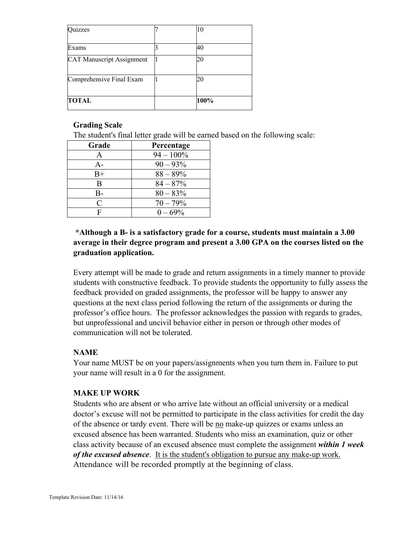| uizzes                           | 10   |
|----------------------------------|------|
| Exams                            | 40   |
| <b>CAT Manuscript Assignment</b> | 20   |
| Comprehensive Final Exam         | 20   |
| <b>TOTAL</b>                     | 100% |

### **Grading Scale**

The student's final letter grade will be earned based on the following scale:

| Grade                       | Percentage   |
|-----------------------------|--------------|
| A                           | $94 - 100\%$ |
| $A -$                       | $90 - 93\%$  |
| $B+$                        | $88 - 89\%$  |
| B                           | $84 - 87\%$  |
| $B -$                       | $80 - 83\%$  |
| $\mathcal{C}_{\mathcal{C}}$ | $70 - 79%$   |
| F                           | $0 - 69\%$   |

# **\*Although a B- is a satisfactory grade for a course, students must maintain a 3.00 average in their degree program and present a 3.00 GPA on the courses listed on the graduation application.**

Every attempt will be made to grade and return assignments in a timely manner to provide students with constructive feedback. To provide students the opportunity to fully assess the feedback provided on graded assignments, the professor will be happy to answer any questions at the next class period following the return of the assignments or during the professor's office hours. The professor acknowledges the passion with regards to grades, but unprofessional and uncivil behavior either in person or through other modes of communication will not be tolerated.

# **NAME**

Your name MUST be on your papers/assignments when you turn them in. Failure to put your name will result in a 0 for the assignment.

## **MAKE UP WORK**

Students who are absent or who arrive late without an official university or a medical doctor's excuse will not be permitted to participate in the class activities for credit the day of the absence or tardy event. There will be no make-up quizzes or exams unless an excused absence has been warranted. Students who miss an examination, quiz or other class activity because of an excused absence must complete the assignment *within 1 week of the excused absence*. It is the student's obligation to pursue any make-up work. Attendance will be recorded promptly at the beginning of class.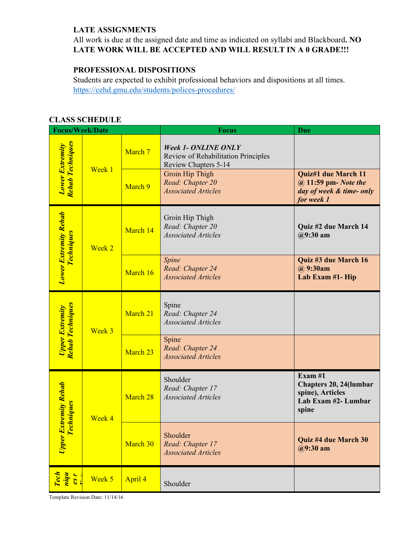# **LATE ASSIGNMENTS**

All work is due at the assigned date and time as indicated on syllabi and Blackboard**. NO LATE WORK WILL BE ACCEPTED AND WILL RESULT IN A 0 GRADE!!!** 

# **PROFESSIONAL DISPOSITIONS**

Students are expected to exhibit professional behaviors and dispositions at all times. https://cehd.gmu.edu/students/polices-procedures/

# **CLASS SCHEDULE**

| <b>Focus/Week/Date</b>                            |          |                                                         | <b>Focus</b>                                                                              | <b>Due</b>                                                                            |
|---------------------------------------------------|----------|---------------------------------------------------------|-------------------------------------------------------------------------------------------|---------------------------------------------------------------------------------------|
| Rehab Techniques<br><b>Lower Extremity</b>        |          | March 7                                                 | <b>Week 1- ONLINE ONLY</b><br>Review of Rehabilitation Principles<br>Review Chapters 5-14 |                                                                                       |
|                                                   | Week 1   | March 9                                                 | Groin Hip Thigh<br>Read: Chapter 20<br><b>Associated Articles</b>                         | Quiz#1 due March 11<br>@ 11:59 pm- Note the<br>day of week & time- only<br>for week 1 |
| <b>Lower Extremity Rehab</b><br><b>Techniques</b> | Week 2   | March 14                                                | Groin Hip Thigh<br>Read: Chapter 20<br><b>Associated Articles</b>                         | Quiz #2 due March 14<br>$@9:30$ am                                                    |
|                                                   |          | March 16                                                | Spine<br>Read: Chapter 24<br><b>Associated Articles</b>                                   | Quiz #3 due March 16<br>$(a)$ 9:30am<br>Lab Exam #1- Hip                              |
| Rehab Techniques<br><b>Upper Extremity</b>        | Week 3   | March 21                                                | Spine<br>Read: Chapter 24<br><b>Associated Articles</b>                                   |                                                                                       |
|                                                   | March 23 | Spine<br>Read: Chapter 24<br><b>Associated Articles</b> |                                                                                           |                                                                                       |
| Upper Extremity Rehab<br><b>Techniques</b>        | Week 4   | March 28                                                | Shoulder<br>Read: Chapter 17<br><b>Associated Articles</b>                                | Exam#1<br>Chapters 20, 24(lumbar<br>spine), Articles<br>Lab Exam #2- Lumbar<br>spine  |
|                                                   |          | March 30                                                | Shoulder<br>Read: Chapter 17<br><b>Associated Articles</b>                                | <b>Quiz #4 due March 30</b><br>$(a)9:30$ am                                           |
| Tech<br>niqu<br>es r                              | Week 5   | April 4                                                 | Shoulder                                                                                  |                                                                                       |

Template Revision Date: 11/14/16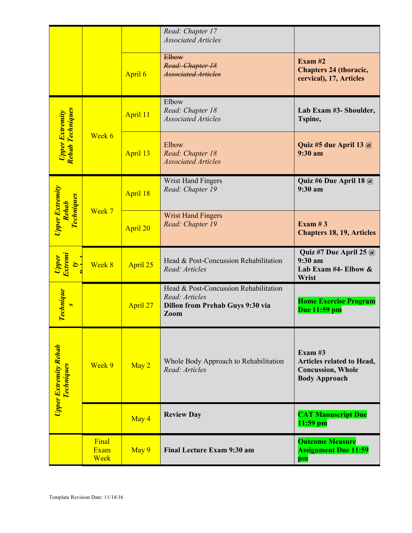|                                                             |                       |          | Read: Chapter 17<br><b>Associated Articles</b>                                                             |                                                                                             |
|-------------------------------------------------------------|-----------------------|----------|------------------------------------------------------------------------------------------------------------|---------------------------------------------------------------------------------------------|
|                                                             |                       | April 6  | Elbow<br>Read: Chapter 18<br><b>Associated Articles</b>                                                    | Exam $#2$<br><b>Chapters 24 (thoracic,</b><br>cervical), 17, Articles                       |
|                                                             |                       | April 11 | Elbow<br>Read: Chapter 18<br><b>Associated Articles</b>                                                    | Lab Exam #3- Shoulder,<br>Tspine,                                                           |
| <mark>Upper Extremity</mark><br>Rehab Techniques            | Week 6                | April 13 | Elbow<br>Read: Chapter 18<br><b>Associated Articles</b>                                                    | Quiz #5 due April 13 $\omega$<br>9:30 a <sub>m</sub>                                        |
|                                                             |                       | April 18 | <b>Wrist Hand Fingers</b><br>Read: Chapter 19                                                              | Quiz #6 Due April 18 @<br>9:30 a <sub>m</sub>                                               |
| <b>Upper Extremity</b><br><b>Techniques</b><br><b>Rehab</b> | Week 7                | April 20 | <b>Wrist Hand Fingers</b><br>Read: Chapter 19                                                              | Exam $#3$<br><b>Chapters 18, 19, Articles</b>                                               |
| Upper<br>Extremi<br>Ó,                                      | Week 8                | April 25 | Head & Post-Concussion Rehabilitation<br>Read: Articles                                                    | Quiz #7 Due April 25 $\omega$<br>9:30 a <sub>m</sub><br>Lab Exam #4- Elbow $\&$<br>Wrist    |
| <b>Technique</b>                                            |                       | April 27 | Head & Post-Concussion Rehabilitation<br>Read: Articles<br><b>Dillon from Prehab Guys 9:30 via</b><br>Zoom | <b>Home Exercise Program</b><br>Due 11:59 pm                                                |
| <b>Upper Extremity Rehab</b><br><b>Techniques</b>           | Week 9                | May 2    | Whole Body Approach to Rehabilitation<br>Read: Articles                                                    | Exam $#3$<br>Articles related to Head,<br><b>Concussion</b> , Whole<br><b>Body Approach</b> |
|                                                             |                       | May 4    | <b>Review Day</b>                                                                                          | <b>CAT Manuscript Due</b><br>$11:59$ pm                                                     |
|                                                             | Final<br>Exam<br>Week | May 9    | <b>Final Lecture Exam 9:30 am</b>                                                                          | <b>Outcome Measure</b><br><b>Assignment Due 11:59</b><br>pm                                 |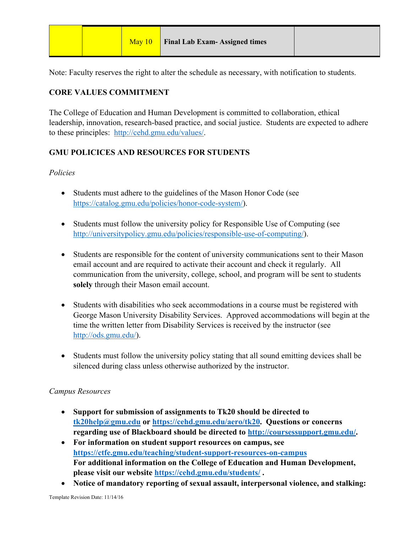|  |  |  | May 10 Final Lab Exam-Assigned times |  |
|--|--|--|--------------------------------------|--|
|--|--|--|--------------------------------------|--|

Note: Faculty reserves the right to alter the schedule as necessary, with notification to students.

# **CORE VALUES COMMITMENT**

The College of Education and Human Development is committed to collaboration, ethical leadership, innovation, research-based practice, and social justice. Students are expected to adhere to these principles: http://cehd.gmu.edu/values/.

# **GMU POLICICES AND RESOURCES FOR STUDENTS**

# *Policies*

- Students must adhere to the guidelines of the Mason Honor Code (see https://catalog.gmu.edu/policies/honor-code-system/).
- Students must follow the university policy for Responsible Use of Computing (see http://universitypolicy.gmu.edu/policies/responsible-use-of-computing/).
- Students are responsible for the content of university communications sent to their Mason email account and are required to activate their account and check it regularly. All communication from the university, college, school, and program will be sent to students **solely** through their Mason email account.
- Students with disabilities who seek accommodations in a course must be registered with George Mason University Disability Services. Approved accommodations will begin at the time the written letter from Disability Services is received by the instructor (see http://ods.gmu.edu/).
- Students must follow the university policy stating that all sound emitting devices shall be silenced during class unless otherwise authorized by the instructor.

## *Campus Resources*

- **Support for submission of assignments to Tk20 should be directed to tk20help@gmu.edu or https://cehd.gmu.edu/aero/tk20. Questions or concerns regarding use of Blackboard should be directed to http://coursessupport.gmu.edu/.**
- **For information on student support resources on campus, see https://ctfe.gmu.edu/teaching/student-support-resources-on-campus For additional information on the College of Education and Human Development, please visit our website https://cehd.gmu.edu/students/ .**
- **Notice of mandatory reporting of sexual assault, interpersonal violence, and stalking:**